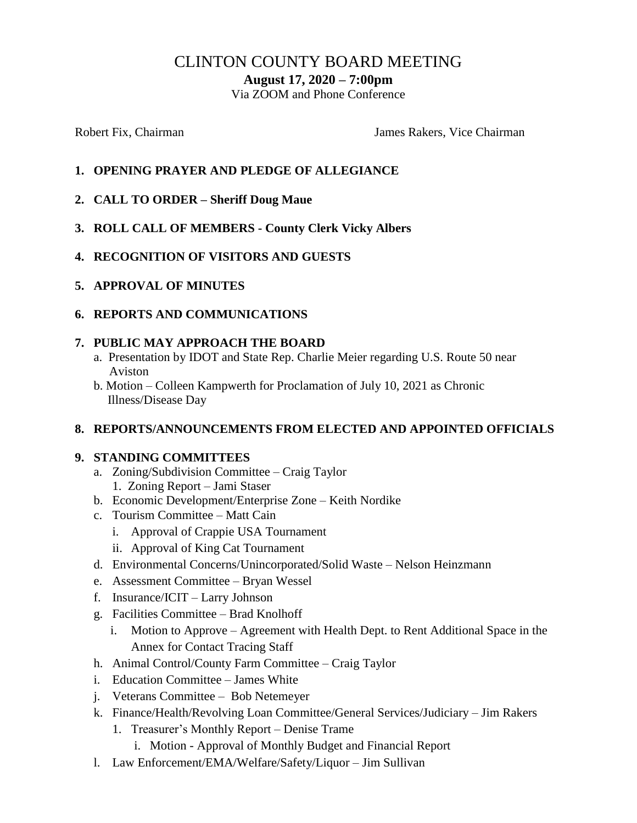# CLINTON COUNTY BOARD MEETING

**August 17, 2020 – 7:00pm**

Via ZOOM and Phone Conference

Robert Fix, Chairman The Chairman James Rakers, Vice Chairman

- **1. OPENING PRAYER AND PLEDGE OF ALLEGIANCE**
- **2. CALL TO ORDER – Sheriff Doug Maue**
- **3. ROLL CALL OF MEMBERS - County Clerk Vicky Albers**
- **4. RECOGNITION OF VISITORS AND GUESTS**
- **5. APPROVAL OF MINUTES**
- **6. REPORTS AND COMMUNICATIONS**

### **7. PUBLIC MAY APPROACH THE BOARD**

- a. Presentation by IDOT and State Rep. Charlie Meier regarding U.S. Route 50 near Aviston
- b. Motion Colleen Kampwerth for Proclamation of July 10, 2021 as Chronic Illness/Disease Day

### **8. REPORTS/ANNOUNCEMENTS FROM ELECTED AND APPOINTED OFFICIALS**

### **9. STANDING COMMITTEES**

- a. Zoning/Subdivision Committee Craig Taylor 1. Zoning Report – Jami Staser
- b. Economic Development/Enterprise Zone Keith Nordike
- c. Tourism Committee Matt Cain
	- i. Approval of Crappie USA Tournament
	- ii. Approval of King Cat Tournament
- d. Environmental Concerns/Unincorporated/Solid Waste Nelson Heinzmann
- e. Assessment Committee Bryan Wessel
- f. Insurance/ICIT Larry Johnson
- g. Facilities Committee Brad Knolhoff
	- i. Motion to Approve Agreement with Health Dept. to Rent Additional Space in the Annex for Contact Tracing Staff
- h. Animal Control/County Farm Committee Craig Taylor
- i. Education Committee James White
- j. Veterans Committee Bob Netemeyer
- k. Finance/Health/Revolving Loan Committee/General Services/Judiciary Jim Rakers
	- 1. Treasurer's Monthly Report Denise Trame
		- i. Motion Approval of Monthly Budget and Financial Report
- l. Law Enforcement/EMA/Welfare/Safety/Liquor Jim Sullivan